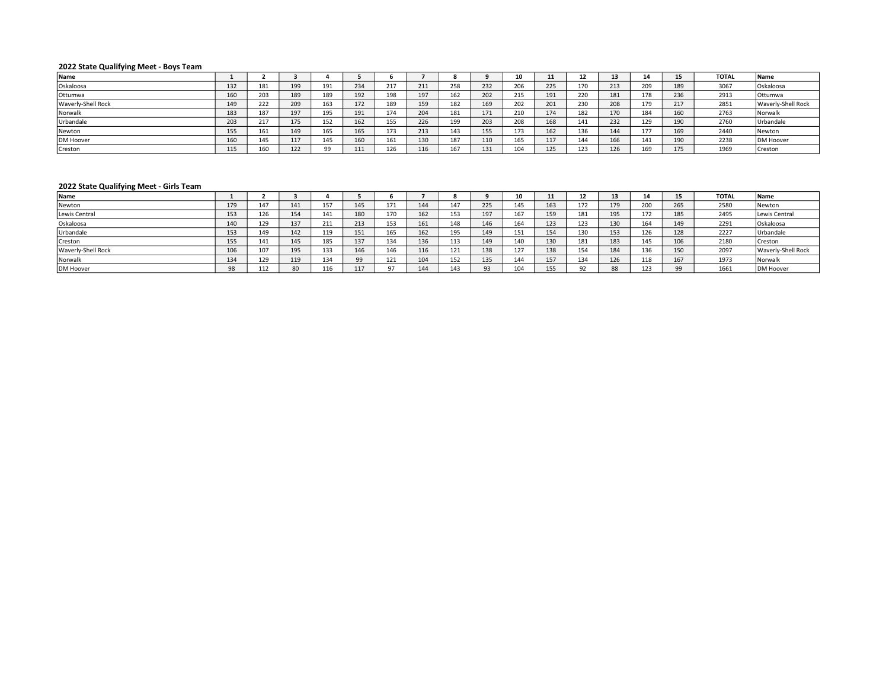## 2022 State Qualifying Meet - Boys Team

| Name               |     |     |     |     |     |     |             |     |     | 10  |     |     | -45 |            |            | <b>TOTAL</b> | Name                      |
|--------------------|-----|-----|-----|-----|-----|-----|-------------|-----|-----|-----|-----|-----|-----|------------|------------|--------------|---------------------------|
| Oskaloosa          | 132 | 181 | 199 | 191 | 234 | 217 | 24.4<br>411 | 258 | 232 | 206 | 225 | 170 | 213 | חמר<br>209 | 189        | 3067         | Oskaloosa                 |
| Ottumwa            | 160 | 203 | 189 | 189 | 192 | 198 | 197         | 162 | 202 | 215 | 191 | 220 | 181 | 178        | 236        | 2913         | <b>Ottumwa</b>            |
| Waverly-Shell Rock | 149 | 222 | 209 | 163 | 172 | 189 | 159         | 182 | 169 | 202 | 201 | 230 | 208 | 179        | 247<br>417 | 2851         | <b>Waverly-Shell Rock</b> |
| Norwalk            | 183 | 187 | 197 | 195 | 191 | 174 | 204         | 181 | 171 | 210 | 174 | 182 | 170 | 184        | 160        | 2763         | Norwalk                   |
| Urbandale          | 203 | 217 | 175 | 152 | 162 | 155 | 226         | 199 | 203 | 208 | 168 | 141 | 232 | 129        | 190        | 2760         | Urbandale                 |
| Newton             | 155 | 161 | 149 | 165 | 165 | 173 | 213         | 143 | 155 | 173 | 162 | 136 | 144 |            | 169        | 2440         | Newton                    |
| <b>DM Hoover</b>   | 160 | 145 | 117 | 145 | 160 | 161 | 130         | 187 | 110 | 165 | 117 | 144 | 166 | 141        | 190        | 2238         | DM Hoover                 |
| Creston            | 115 | 160 | 122 | 99  | 111 | 126 |             | 167 | 131 | 104 | 125 | 123 | 126 | 169        | 175        | 1969         | Creston                   |

## 2022 State Qualifying Meet - Girls Team

| Name               |     |     |            |     |          |        |     |     |     |     | 11  | -   | 13  | 14  | 15  | <b>TOTAL</b> | <b>Name</b>        |
|--------------------|-----|-----|------------|-----|----------|--------|-----|-----|-----|-----|-----|-----|-----|-----|-----|--------------|--------------------|
| Newton             | 179 | 147 | 141        | 157 | 145      | 171    | 144 | 147 | 225 | 145 | 163 | 172 | 179 | 200 | 265 | 2580         | Newton             |
| Lewis Central      | 153 | 126 | 154        | 141 |          | 170    | 162 | 153 | 197 | 167 | 159 | 181 | 195 | 172 | 185 | 2495         | Lewis Central      |
| Oskaloosa          | 140 | 129 | 137<br>، ب | 211 | 213      | 153    | 161 | 148 | 146 | 164 | 123 | 123 | 130 | 164 | 149 | 2291         | Oskaloosa          |
| Urbandale          | 153 | 149 | 142        | 119 | 151      | 165    | 162 | 195 | 149 | 151 | 154 |     | 153 | 126 | 128 | 2227         | Urbandale          |
| Creston            | 155 | 141 | 145        | 185 | 137      | 134    | 136 | 113 | 149 | 140 | 130 | 181 | 183 | 145 | 106 | 2180         | Creston            |
| Waverly-Shell Rock | 106 | 107 | 195        | 133 | 146      |        | 116 | 121 | 138 | 127 | 138 | 154 | 184 | 136 | 150 | 2097         | Waverly-Shell Rock |
| Norwalk            | 134 | 129 | 119        | 134 | $\Omega$ | 121    | 104 | 152 | 135 | 144 | 157 | 134 | 126 | 118 | 167 | 1973         | <b>Norwalk</b>     |
| DM Hoover          | 98  | 112 | 80         | 116 | 117      | $\sim$ | 144 | 143 | 93  | 104 | 155 |     | 88  | 123 | 00  | 1661         | <b>DM Hoover</b>   |